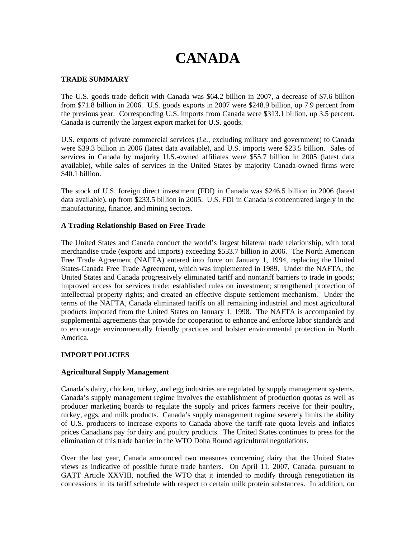# **CANADA**

# **TRADE SUMMARY**

The U.S. goods trade deficit with Canada was \$64.2 billion in 2007, a decrease of \$7.6 billion from \$71.8 billion in 2006. U.S. goods exports in 2007 were \$248.9 billion, up 7.9 percent from the previous year. Corresponding U.S. imports from Canada were \$313.1 billion, up 3.5 percent. Canada is currently the largest export market for U.S. goods.

U.S. exports of private commercial services (*i.e.*, excluding military and government) to Canada were \$39.3 billion in 2006 (latest data available), and U.S. imports were \$23.5 billion. Sales of services in Canada by majority U.S.-owned affiliates were \$55.7 billion in 2005 (latest data available), while sales of services in the United States by majority Canada-owned firms were \$40.1 billion.

The stock of U.S. foreign direct investment (FDI) in Canada was \$246.5 billion in 2006 (latest data available), up from \$233.5 billion in 2005. U.S. FDI in Canada is concentrated largely in the manufacturing, finance, and mining sectors.

## **A Trading Relationship Based on Free Trade**

The United States and Canada conduct the world's largest bilateral trade relationship, with total merchandise trade (exports and imports) exceeding \$533.7 billion in 2006. The North American Free Trade Agreement (NAFTA) entered into force on January 1, 1994, replacing the United States-Canada Free Trade Agreement, which was implemented in 1989. Under the NAFTA, the United States and Canada progressively eliminated tariff and nontariff barriers to trade in goods; improved access for services trade; established rules on investment; strengthened protection of intellectual property rights; and created an effective dispute settlement mechanism. Under the terms of the NAFTA, Canada eliminated tariffs on all remaining industrial and most agricultural products imported from the United States on January 1, 1998. The NAFTA is accompanied by supplemental agreements that provide for cooperation to enhance and enforce labor standards and to encourage environmentally friendly practices and bolster environmental protection in North America.

### **IMPORT POLICIES**

# **Agricultural Supply Management**

Canada's dairy, chicken, turkey, and egg industries are regulated by supply management systems. Canada's supply management regime involves the establishment of production quotas as well as producer marketing boards to regulate the supply and prices farmers receive for their poultry, turkey, eggs, and milk products. Canada's supply management regime severely limits the ability of U.S. producers to increase exports to Canada above the tariff-rate quota levels and inflates prices Canadians pay for dairy and poultry products. The United States continues to press for the elimination of this trade barrier in the WTO Doha Round agricultural negotiations.

Over the last year, Canada announced two measures concerning dairy that the United States views as indicative of possible future trade barriers. On April 11, 2007, Canada, pursuant to GATT Article XXVIII, notified the WTO that it intended to modify through renegotiation its concessions in its tariff schedule with respect to certain milk protein substances. In addition, on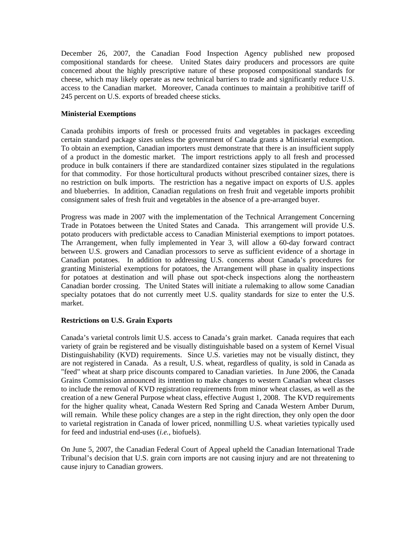December 26, 2007, the Canadian Food Inspection Agency published new proposed compositional standards for cheese. United States dairy producers and processors are quite concerned about the highly prescriptive nature of these proposed compositional standards for cheese, which may likely operate as new technical barriers to trade and significantly reduce U.S. access to the Canadian market. Moreover, Canada continues to maintain a prohibitive tariff of 245 percent on U.S. exports of breaded cheese sticks.

## **Ministerial Exemptions**

Canada prohibits imports of fresh or processed fruits and vegetables in packages exceeding certain standard package sizes unless the government of Canada grants a Ministerial exemption. To obtain an exemption, Canadian importers must demonstrate that there is an insufficient supply of a product in the domestic market. The import restrictions apply to all fresh and processed produce in bulk containers if there are standardized container sizes stipulated in the regulations for that commodity. For those horticultural products without prescribed container sizes, there is no restriction on bulk imports. The restriction has a negative impact on exports of U.S. apples and blueberries. In addition, Canadian regulations on fresh fruit and vegetable imports prohibit consignment sales of fresh fruit and vegetables in the absence of a pre-arranged buyer.

Progress was made in 2007 with the implementation of the Technical Arrangement Concerning Trade in Potatoes between the United States and Canada. This arrangement will provide U.S. potato producers with predictable access to Canadian Ministerial exemptions to import potatoes. The Arrangement, when fully implemented in Year 3, will allow a 60-day forward contract between U.S. growers and Canadian processors to serve as sufficient evidence of a shortage in Canadian potatoes. In addition to addressing U.S. concerns about Canada's procedures for granting Ministerial exemptions for potatoes, the Arrangement will phase in quality inspections for potatoes at destination and will phase out spot-check inspections along the northeastern Canadian border crossing. The United States will initiate a rulemaking to allow some Canadian specialty potatoes that do not currently meet U.S. quality standards for size to enter the U.S. market.

### **Restrictions on U.S. Grain Exports**

Canada's varietal controls limit U.S. access to Canada's grain market. Canada requires that each variety of grain be registered and be visually distinguishable based on a system of Kernel Visual Distinguishability (KVD) requirements. Since U.S. varieties may not be visually distinct, they are not registered in Canada. As a result, U.S. wheat, regardless of quality, is sold in Canada as "feed" wheat at sharp price discounts compared to Canadian varieties. In June 2006, the Canada Grains Commission announced its intention to make changes to western Canadian wheat classes to include the removal of KVD registration requirements from minor wheat classes, as well as the creation of a new General Purpose wheat class, effective August 1, 2008. The KVD requirements for the higher quality wheat, Canada Western Red Spring and Canada Western Amber Durum, will remain. While these policy changes are a step in the right direction, they only open the door to varietal registration in Canada of lower priced, nonmilling U.S. wheat varieties typically used for feed and industrial end-uses (*i.e.,* biofuels).

On June 5, 2007, the Canadian Federal Court of Appeal upheld the Canadian International Trade Tribunal's decision that U.S. grain corn imports are not causing injury and are not threatening to cause injury to Canadian growers.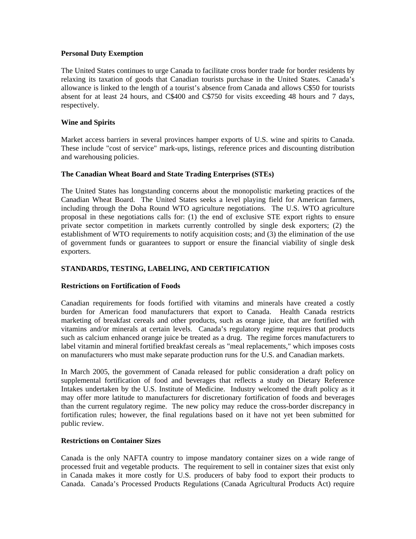## **Personal Duty Exemption**

The United States continues to urge Canada to facilitate cross border trade for border residents by relaxing its taxation of goods that Canadian tourists purchase in the United States. Canada's allowance is linked to the length of a tourist's absence from Canada and allows C\$50 for tourists absent for at least 24 hours, and C\$400 and C\$750 for visits exceeding 48 hours and 7 days, respectively.

## **Wine and Spirits**

Market access barriers in several provinces hamper exports of U.S. wine and spirits to Canada. These include "cost of service" mark-ups, listings, reference prices and discounting distribution and warehousing policies.

# **The Canadian Wheat Board and State Trading Enterprises (STEs)**

The United States has longstanding concerns about the monopolistic marketing practices of the Canadian Wheat Board. The United States seeks a level playing field for American farmers, including through the Doha Round WTO agriculture negotiations. The U.S. WTO agriculture proposal in these negotiations calls for: (1) the end of exclusive STE export rights to ensure private sector competition in markets currently controlled by single desk exporters; (2) the establishment of WTO requirements to notify acquisition costs; and (3) the elimination of the use of government funds or guarantees to support or ensure the financial viability of single desk exporters.

# **STANDARDS, TESTING, LABELING, AND CERTIFICATION**

# **Restrictions on Fortification of Foods**

Canadian requirements for foods fortified with vitamins and minerals have created a costly burden for American food manufacturers that export to Canada. Health Canada restricts marketing of breakfast cereals and other products, such as orange juice, that are fortified with vitamins and/or minerals at certain levels. Canada's regulatory regime requires that products such as calcium enhanced orange juice be treated as a drug. The regime forces manufacturers to label vitamin and mineral fortified breakfast cereals as "meal replacements," which imposes costs on manufacturers who must make separate production runs for the U.S. and Canadian markets.

In March 2005, the government of Canada released for public consideration a draft policy on supplemental fortification of food and beverages that reflects a study on Dietary Reference Intakes undertaken by the U.S. Institute of Medicine. Industry welcomed the draft policy as it may offer more latitude to manufacturers for discretionary fortification of foods and beverages than the current regulatory regime. The new policy may reduce the cross-border discrepancy in fortification rules; however, the final regulations based on it have not yet been submitted for public review.

### **Restrictions on Container Sizes**

Canada is the only NAFTA country to impose mandatory container sizes on a wide range of processed fruit and vegetable products. The requirement to sell in container sizes that exist only in Canada makes it more costly for U.S. producers of baby food to export their products to Canada. Canada's Processed Products Regulations (Canada Agricultural Products Act) require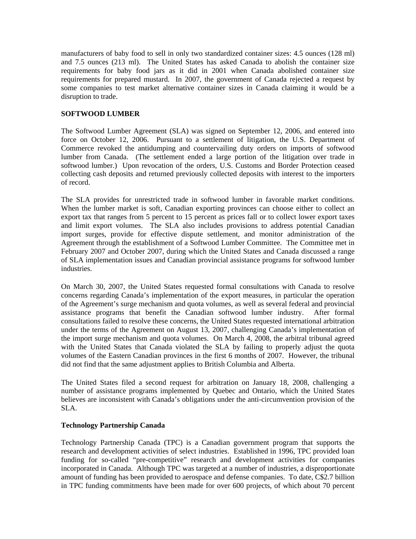manufacturers of baby food to sell in only two standardized container sizes: 4.5 ounces (128 ml) and 7.5 ounces (213 ml). The United States has asked Canada to abolish the container size requirements for baby food jars as it did in 2001 when Canada abolished container size requirements for prepared mustard. In 2007, the government of Canada rejected a request by some companies to test market alternative container sizes in Canada claiming it would be a disruption to trade.

# **SOFTWOOD LUMBER**

The Softwood Lumber Agreement (SLA) was signed on September 12, 2006, and entered into force on October 12, 2006. Pursuant to a settlement of litigation, the U.S. Department of Commerce revoked the antidumping and countervailing duty orders on imports of softwood lumber from Canada. (The settlement ended a large portion of the litigation over trade in softwood lumber.) Upon revocation of the orders, U.S. Customs and Border Protection ceased collecting cash deposits and returned previously collected deposits with interest to the importers of record.

The SLA provides for unrestricted trade in softwood lumber in favorable market conditions. When the lumber market is soft, Canadian exporting provinces can choose either to collect an export tax that ranges from 5 percent to 15 percent as prices fall or to collect lower export taxes and limit export volumes. The SLA also includes provisions to address potential Canadian import surges, provide for effective dispute settlement, and monitor administration of the Agreement through the establishment of a Softwood Lumber Committee. The Committee met in February 2007 and October 2007, during which the United States and Canada discussed a range of SLA implementation issues and Canadian provincial assistance programs for softwood lumber industries.

On March 30, 2007, the United States requested formal consultations with Canada to resolve concerns regarding Canada's implementation of the export measures, in particular the operation of the Agreement's surge mechanism and quota volumes, as well as several federal and provincial assistance programs that benefit the Canadian softwood lumber industry. After formal consultations failed to resolve these concerns, the United States requested international arbitration under the terms of the Agreement on August 13, 2007, challenging Canada's implementation of the import surge mechanism and quota volumes. On March 4, 2008, the arbitral tribunal agreed with the United States that Canada violated the SLA by failing to properly adjust the quota volumes of the Eastern Canadian provinces in the first 6 months of 2007. However, the tribunal did not find that the same adjustment applies to British Columbia and Alberta.

The United States filed a second request for arbitration on January 18, 2008, challenging a number of assistance programs implemented by Quebec and Ontario, which the United States believes are inconsistent with Canada's obligations under the anti-circumvention provision of the SLA.

# **Technology Partnership Canada**

Technology Partnership Canada (TPC) is a Canadian government program that supports the research and development activities of select industries. Established in 1996, TPC provided loan funding for so-called "pre-competitive" research and development activities for companies incorporated in Canada. Although TPC was targeted at a number of industries, a disproportionate amount of funding has been provided to aerospace and defense companies. To date, C\$2.7 billion in TPC funding commitments have been made for over 600 projects, of which about 70 percent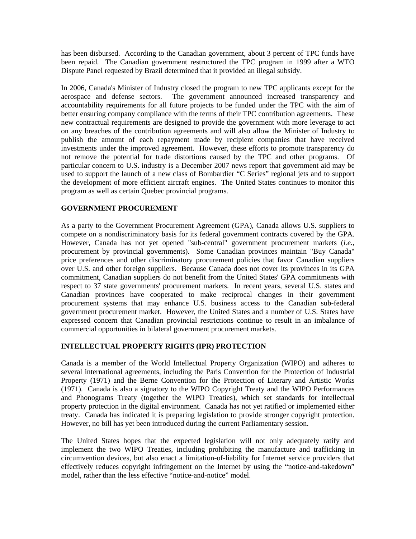has been disbursed. According to the Canadian government, about 3 percent of TPC funds have been repaid. The Canadian government restructured the TPC program in 1999 after a WTO Dispute Panel requested by Brazil determined that it provided an illegal subsidy.

In 2006, Canada's Minister of Industry closed the program to new TPC applicants except for the aerospace and defense sectors. The government announced increased transparency and accountability requirements for all future projects to be funded under the TPC with the aim of better ensuring company compliance with the terms of their TPC contribution agreements. These new contractual requirements are designed to provide the government with more leverage to act on any breaches of the contribution agreements and will also allow the Minister of Industry to publish the amount of each repayment made by recipient companies that have received investments under the improved agreement. However, these efforts to promote transparency do not remove the potential for trade distortions caused by the TPC and other programs. Of particular concern to U.S. industry is a December 2007 news report that government aid may be used to support the launch of a new class of Bombardier "C Series" regional jets and to support the development of more efficient aircraft engines. The United States continues to monitor this program as well as certain Quebec provincial programs.

# **GOVERNMENT PROCUREMENT**

As a party to the Government Procurement Agreement (GPA), Canada allows U.S. suppliers to compete on a nondiscriminatory basis for its federal government contracts covered by the GPA. However, Canada has not yet opened "sub-central" government procurement markets (*i.e.*, procurement by provincial governments). Some Canadian provinces maintain "Buy Canada" price preferences and other discriminatory procurement policies that favor Canadian suppliers over U.S. and other foreign suppliers. Because Canada does not cover its provinces in its GPA commitment, Canadian suppliers do not benefit from the United States' GPA commitments with respect to 37 state governments' procurement markets. In recent years, several U.S. states and Canadian provinces have cooperated to make reciprocal changes in their government procurement systems that may enhance U.S. business access to the Canadian sub-federal government procurement market. However, the United States and a number of U.S. States have expressed concern that Canadian provincial restrictions continue to result in an imbalance of commercial opportunities in bilateral government procurement markets.

# **INTELLECTUAL PROPERTY RIGHTS (IPR) PROTECTION**

Canada is a member of the World Intellectual Property Organization (WIPO) and adheres to several international agreements, including the Paris Convention for the Protection of Industrial Property (1971) and the Berne Convention for the Protection of Literary and Artistic Works (1971). Canada is also a signatory to the WIPO Copyright Treaty and the WIPO Performances and Phonograms Treaty (together the WIPO Treaties), which set standards for intellectual property protection in the digital environment. Canada has not yet ratified or implemented either treaty. Canada has indicated it is preparing legislation to provide stronger copyright protection. However, no bill has yet been introduced during the current Parliamentary session.

The United States hopes that the expected legislation will not only adequately ratify and implement the two WIPO Treaties, including prohibiting the manufacture and trafficking in circumvention devices, but also enact a limitation-of-liability for Internet service providers that effectively reduces copyright infringement on the Internet by using the "notice-and-takedown" model, rather than the less effective "notice-and-notice" model.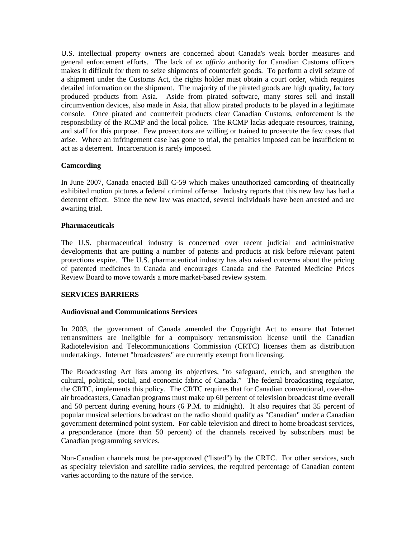U.S. intellectual property owners are concerned about Canada's weak border measures and general enforcement efforts. The lack of *ex officio* authority for Canadian Customs officers makes it difficult for them to seize shipments of counterfeit goods. To perform a civil seizure of a shipment under the Customs Act, the rights holder must obtain a court order, which requires detailed information on the shipment. The majority of the pirated goods are high quality, factory produced products from Asia. Aside from pirated software, many stores sell and install circumvention devices, also made in Asia, that allow pirated products to be played in a legitimate console. Once pirated and counterfeit products clear Canadian Customs, enforcement is the responsibility of the RCMP and the local police. The RCMP lacks adequate resources, training, and staff for this purpose. Few prosecutors are willing or trained to prosecute the few cases that arise. Where an infringement case has gone to trial, the penalties imposed can be insufficient to act as a deterrent. Incarceration is rarely imposed.

# **Camcording**

In June 2007, Canada enacted Bill C-59 which makes unauthorized camcording of theatrically exhibited motion pictures a federal criminal offense. Industry reports that this new law has had a deterrent effect. Since the new law was enacted, several individuals have been arrested and are awaiting trial.

# **Pharmaceuticals**

The U.S. pharmaceutical industry is concerned over recent judicial and administrative developments that are putting a number of patents and products at risk before relevant patent protections expire. The U.S. pharmaceutical industry has also raised concerns about the pricing of patented medicines in Canada and encourages Canada and the Patented Medicine Prices Review Board to move towards a more market-based review system.

# **SERVICES BARRIERS**

# **Audiovisual and Communications Services**

In 2003, the government of Canada amended the Copyright Act to ensure that Internet retransmitters are ineligible for a compulsory retransmission license until the Canadian Radiotelevision and Telecommunications Commission (CRTC) licenses them as distribution undertakings. Internet "broadcasters" are currently exempt from licensing.

The Broadcasting Act lists among its objectives, "to safeguard, enrich, and strengthen the cultural, political, social, and economic fabric of Canada." The federal broadcasting regulator, the CRTC, implements this policy. The CRTC requires that for Canadian conventional, over-theair broadcasters, Canadian programs must make up 60 percent of television broadcast time overall and 50 percent during evening hours (6 P.M. to midnight). It also requires that 35 percent of popular musical selections broadcast on the radio should qualify as "Canadian" under a Canadian government determined point system. For cable television and direct to home broadcast services, a preponderance (more than 50 percent) of the channels received by subscribers must be Canadian programming services.

Non-Canadian channels must be pre-approved ("listed") by the CRTC. For other services, such as specialty television and satellite radio services, the required percentage of Canadian content varies according to the nature of the service.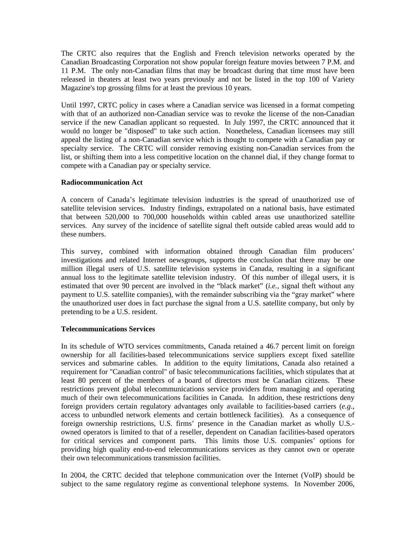The CRTC also requires that the English and French television networks operated by the Canadian Broadcasting Corporation not show popular foreign feature movies between 7 P.M. and 11 P.M. The only non-Canadian films that may be broadcast during that time must have been released in theaters at least two years previously and not be listed in the top 100 of Variety Magazine's top grossing films for at least the previous 10 years.

Until 1997, CRTC policy in cases where a Canadian service was licensed in a format competing with that of an authorized non-Canadian service was to revoke the license of the non-Canadian service if the new Canadian applicant so requested. In July 1997, the CRTC announced that it would no longer be "disposed" to take such action. Nonetheless, Canadian licensees may still appeal the listing of a non-Canadian service which is thought to compete with a Canadian pay or specialty service. The CRTC will consider removing existing non-Canadian services from the list, or shifting them into a less competitive location on the channel dial, if they change format to compete with a Canadian pay or specialty service.

## **Radiocommunication Act**

A concern of Canada's legitimate television industries is the spread of unauthorized use of satellite television services. Industry findings, extrapolated on a national basis, have estimated that between 520,000 to 700,000 households within cabled areas use unauthorized satellite services. Any survey of the incidence of satellite signal theft outside cabled areas would add to these numbers.

This survey, combined with information obtained through Canadian film producers' investigations and related Internet newsgroups, supports the conclusion that there may be one million illegal users of U.S. satellite television systems in Canada, resulting in a significant annual loss to the legitimate satellite television industry. Of this number of illegal users, it is estimated that over 90 percent are involved in the "black market" (*i.e.*, signal theft without any payment to U.S. satellite companies), with the remainder subscribing via the "gray market" where the unauthorized user does in fact purchase the signal from a U.S. satellite company, but only by pretending to be a U.S. resident.

### **Telecommunications Services**

In its schedule of WTO services commitments, Canada retained a 46.7 percent limit on foreign ownership for all facilities-based telecommunications service suppliers except fixed satellite services and submarine cables. In addition to the equity limitations, Canada also retained a requirement for "Canadian control" of basic telecommunications facilities, which stipulates that at least 80 percent of the members of a board of directors must be Canadian citizens. These restrictions prevent global telecommunications service providers from managing and operating much of their own telecommunications facilities in Canada. In addition, these restrictions deny foreign providers certain regulatory advantages only available to facilities-based carriers (*e.g*., access to unbundled network elements and certain bottleneck facilities). As a consequence of foreign ownership restrictions, U.S. firms' presence in the Canadian market as wholly U.S. owned operators is limited to that of a reseller, dependent on Canadian facilities-based operators for critical services and component parts. This limits those U.S. companies' options for providing high quality end-to-end telecommunications services as they cannot own or operate their own telecommunications transmission facilities.

In 2004, the CRTC decided that telephone communication over the Internet (VoIP) should be subject to the same regulatory regime as conventional telephone systems. In November 2006,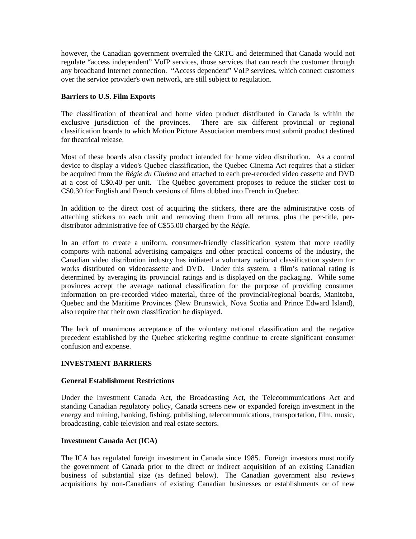however, the Canadian government overruled the CRTC and determined that Canada would not regulate "access independent" VoIP services, those services that can reach the customer through any broadband Internet connection. "Access dependent" VoIP services, which connect customers over the service provider's own network, are still subject to regulation.

## **Barriers to U.S. Film Exports**

The classification of theatrical and home video product distributed in Canada is within the exclusive jurisdiction of the provinces. There are six different provincial or regional classification boards to which Motion Picture Association members must submit product destined for theatrical release.

Most of these boards also classify product intended for home video distribution. As a control device to display a video's Quebec classification, the Quebec Cinema Act requires that a sticker be acquired from the *Régie du Cinéma* and attached to each pre-recorded video cassette and DVD at a cost of C\$0.40 per unit. The Québec government proposes to reduce the sticker cost to C\$0.30 for English and French versions of films dubbed into French in Quebec.

In addition to the direct cost of acquiring the stickers, there are the administrative costs of attaching stickers to each unit and removing them from all returns, plus the per-title, perdistributor administrative fee of C\$55.00 charged by the *Régie*.

In an effort to create a uniform, consumer-friendly classification system that more readily comports with national advertising campaigns and other practical concerns of the industry, the Canadian video distribution industry has initiated a voluntary national classification system for works distributed on videocassette and DVD. Under this system, a film's national rating is determined by averaging its provincial ratings and is displayed on the packaging. While some provinces accept the average national classification for the purpose of providing consumer information on pre-recorded video material, three of the provincial/regional boards, Manitoba, Quebec and the Maritime Provinces (New Brunswick, Nova Scotia and Prince Edward Island), also require that their own classification be displayed.

The lack of unanimous acceptance of the voluntary national classification and the negative precedent established by the Quebec stickering regime continue to create significant consumer confusion and expense.

# **INVESTMENT BARRIERS**

### **General Establishment Restrictions**

Under the Investment Canada Act, the Broadcasting Act, the Telecommunications Act and standing Canadian regulatory policy, Canada screens new or expanded foreign investment in the energy and mining, banking, fishing, publishing, telecommunications, transportation, film, music, broadcasting, cable television and real estate sectors.

### **Investment Canada Act (ICA)**

The ICA has regulated foreign investment in Canada since 1985. Foreign investors must notify the government of Canada prior to the direct or indirect acquisition of an existing Canadian business of substantial size (as defined below). The Canadian government also reviews acquisitions by non-Canadians of existing Canadian businesses or establishments or of new